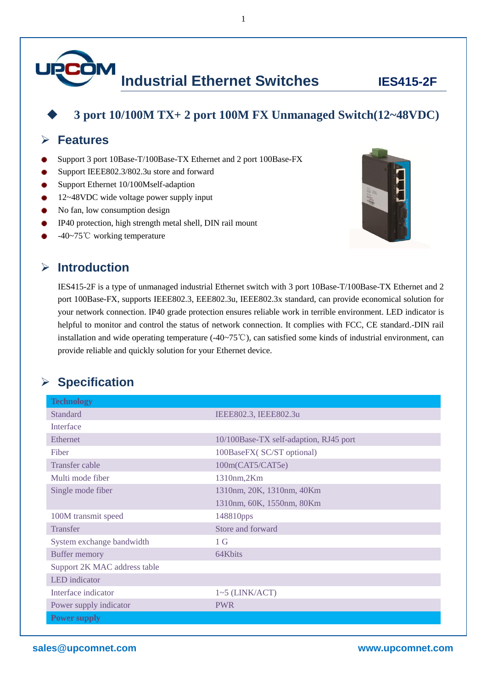

### **3 port 10/100M TX+ 2 port 100M FX Unmanaged Switch(12~48VDC)**

1

#### **Features**

- Support 3 port 10Base-T/100Base-TX Ethernet and 2 port 100Base-FX
- Support IEEE802.3/802.3u store and forward
- Support Ethernet 10/100Mself-adaption
- 12~48VDC wide voltage power supply input
- No fan, low consumption design
- IP40 protection, high strength metal shell, DIN rail mount
- -40~75℃ working temperature





IES415-2F is a type of unmanaged industrial Ethernet switch with 3 port 10Base-T/100Base-TX Ethernet and 2 port 100Base-FX, supports IEEE802.3, EEE802.3u, IEEE802.3x standard, can provide economical solution for your network connection. IP40 grade protection ensures reliable work in terrible environment. LED indicator is helpful to monitor and control the status of network connection. It complies with FCC, CE standard.-DIN rail installation and wide operating temperature (-40~75℃), can satisfied some kinds of industrial environment, can provide reliable and quickly solution for your Ethernet device.

#### **Specification**

| <b>Technology</b>            |                                        |
|------------------------------|----------------------------------------|
| <b>Standard</b>              | IEEE802.3, IEEE802.3u                  |
| <b>Interface</b>             |                                        |
| <b>Ethernet</b>              | 10/100Base-TX self-adaption, RJ45 port |
| Fiber                        | 100BaseFX(SC/ST optional)              |
| <b>Transfer cable</b>        | 100m(CAT5/CAT5e)                       |
| Multi mode fiber             | 1310nm,2Km                             |
| Single mode fiber            | 1310nm, 20K, 1310nm, 40Km              |
|                              | 1310nm, 60K, 1550nm, 80Km              |
| 100M transmit speed          | 148810pps                              |
| <b>Transfer</b>              | Store and forward                      |
| System exchange bandwidth    | 1 <sub>G</sub>                         |
| <b>Buffer memory</b>         | 64Kbits                                |
| Support 2K MAC address table |                                        |
| <b>LED</b> indicator         |                                        |
| Interface indicator          | $1~5$ (LINK/ACT)                       |
| Power supply indicator       | <b>PWR</b>                             |
| <b>Power supply</b>          |                                        |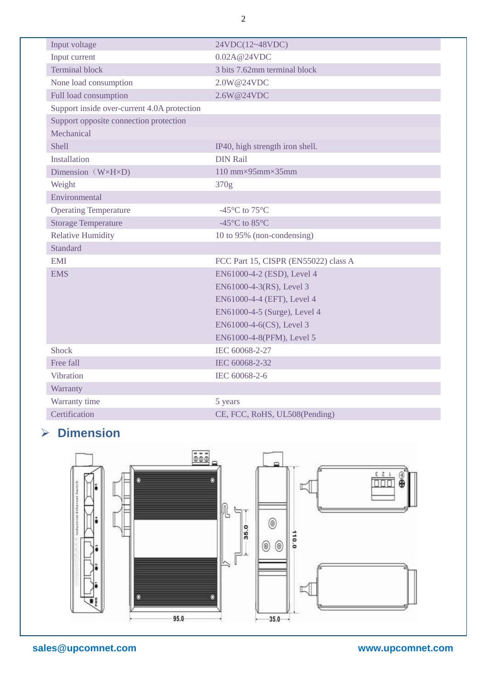| Input voltage                               | 24VDC(12~48VDC)                      |
|---------------------------------------------|--------------------------------------|
| Input current                               | 0.02A@24VDC                          |
| <b>Terminal block</b>                       | 3 bits 7.62mm terminal block         |
| None load consumption                       | 2.0W@24VDC                           |
| Full load consumption                       | 2.6W@24VDC                           |
| Support inside over-current 4.0A protection |                                      |
| Support opposite connection protection      |                                      |
| Mechanical                                  |                                      |
| <b>Shell</b>                                | IP40, high strength iron shell.      |
| <b>Installation</b>                         | <b>DIN Rail</b>                      |
| Dimension $(W \times H \times D)$           | 110 mm $\times$ 95mm $\times$ 35mm   |
| Weight                                      | 370g                                 |
| Environmental                               |                                      |
| <b>Operating Temperature</b>                | -45 $\mathbb{C}$ to 75 $\mathbb{C}$  |
| <b>Storage Temperature</b>                  | -45 °C to 85 °C                      |
| <b>Relative Humidity</b>                    | 10 to 95% (non-condensing)           |
| <b>Standard</b>                             |                                      |
| <b>EMI</b>                                  | FCC Part 15, CISPR (EN55022) class A |
| <b>EMS</b>                                  | EN61000-4-2 (ESD), Level 4           |
|                                             | EN61000-4-3(RS), Level 3             |
|                                             | EN61000-4-4 (EFT), Level 4           |
|                                             | EN61000-4-5 (Surge), Level 4         |
|                                             | EN61000-4-6(CS), Level 3             |
|                                             | EN61000-4-8(PFM), Level 5            |
| <b>Shock</b>                                | IEC 60068-2-27                       |
| Free fall                                   | IEC 60068-2-32                       |
| <b>Vibration</b>                            | IEC 60068-2-6                        |
| Warranty                                    |                                      |
| Warranty time                               | 5 years                              |
| Certification                               | CE, FCC, RoHS, UL508(Pending)        |

# **Dimension**